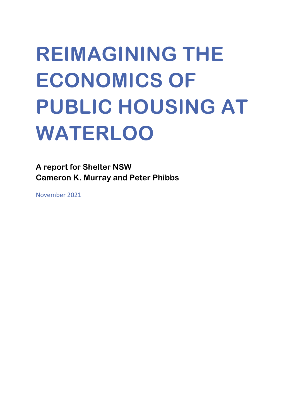# **REIMAGINING THE ECONOMICS OF PUBLIC HOUSING AT WATERLOO**

**A report for Shelter NSW Cameron K. Murray and Peter Phibbs**

November 2021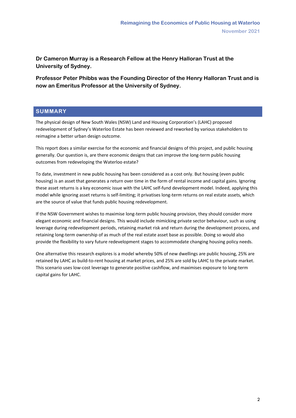**Dr Cameron Murray is a Research Fellow at the Henry Halloran Trust at the University of Sydney.** 

**Professor Peter Phibbs was the Founding Director of the Henry Halloran Trust and is now an Emeritus Professor at the University of Sydney.**

# <span id="page-1-0"></span>**SUMMARY**

The physical design of New South Wales (NSW) Land and Housing Corporation's (LAHC) proposed redevelopment of Sydney's Waterloo Estate has been reviewed and reworked by various stakeholders to reimagine a better urban design outcome.

This report does a similar exercise for the economic and financial designs of this project, and public housing generally. Our question is, are there economic designs that can improve the long-term public housing outcomes from redeveloping the Waterloo estate?

To date, investment in new public housing has been considered as a cost only. But housing (even public housing) is an asset that generates a return over time in the form of rental income and capital gains. Ignoring these asset returns is a key economic issue with the LAHC self-fund development model. Indeed, applying this model while ignoring asset returns is self-limiting; it privatises long-term returns on real estate assets, which are the source of value that funds public housing redevelopment.

If the NSW Government wishes to maximise long-term public housing provision, they should consider more elegant economic and financial designs. This would include mimicking private sector behaviour, such as using leverage during redevelopment periods, retaining market risk and return during the development process, and retaining long-term ownership of as much of the real estate asset base as possible. Doing so would also provide the flexibility to vary future redevelopment stages to accommodate changing housing policy needs.

One alternative this research explores is a model whereby 50% of new dwellings are public housing, 25% are retained by LAHC as build-to-rent housing at market prices, and 25% are sold by LAHC to the private market. This scenario uses low-cost leverage to generate positive cashflow, and maximises exposure to long-term capital gains for LAHC.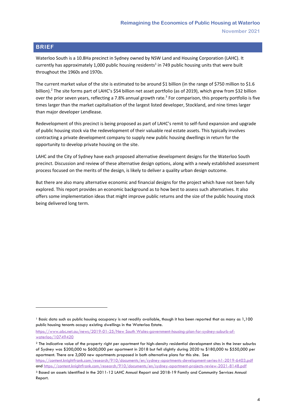# <span id="page-3-0"></span>**BRIEF**

Waterloo South is a 10.8Ha precinct in Sydney owned by NSW Land and Housing Corporation (LAHC). It currently has approximately 1,000 public housing residents<sup>1</sup> in 749 public housing units that were built throughout the 1960s and 1970s.

The current market value of the site is estimated to be around \$1 billion (in the range of \$750 million to \$1.6 billion). <sup>2</sup> The site forms part of LAHC's \$54 billion net asset portfolio (as of 2019), which grew from \$32 billion over the prior seven years, reflecting a 7.8% annual growth rate.<sup>3</sup> For comparison, this property portfolio is five times larger than the market capitalisation of the largest listed developer, Stockland, and nine times larger than major developer Lendlease.

Redevelopment of this precinct is being proposed as part of LAHC's remit to self-fund expansion and upgrade of public housing stock via the redevelopment of their valuable real estate assets. This typically involves contracting a private development company to supply new public housing dwellings in return for the opportunity to develop private housing on the site.

LAHC and the City of Sydney have each proposed alternative development designs for the Waterloo South precinct. Discussion and review of these alternative design options, along with a newly established assessment process focused on the merits of the design, is likely to deliver a quality urban design outcome.

But there are also many alternative economic and financial designs for the project which have not been fully explored. This report provides an economic background as to how best to assess such alternatives. It also offers some implementation ideas that might improve public returns and the size of the public housing stock being delivered long term.

<sup>2</sup> The indicative value of the property right per apartment for high-density residential development sites in the inner suburbs of Sydney was \$200,000 to \$600,000 per apartment in 2018 but fell slightly during 2020 to \$180,000 to \$550,000 per apartment. There are 3,000 new apartments proposed in both alternative plans for this site. See

<https://content.knightfrank.com/research/910/documents/en/sydney-apartments-development-series-h1-2019-6403.pdf> and<https://content.knightfrank.com/research/910/documents/en/sydney-apartment-projects-review-2021-8148.pdf>

<sup>1</sup> Basic data such as public housing occupancy is not readily available, though it has been reported that as many as 1,100 public housing tenants occupy existing dwellings in the Waterloo Estate.

[https://www.abc.net.au/news/2019-01-25/New South Wales-government-housing-plan-for-sydney-suburb-of](https://www.abc.net.au/news/2019-01-25/nsw-government-housing-plan-for-sydney-suburb-of-waterloo/10749420)[waterloo/10749420](https://www.abc.net.au/news/2019-01-25/nsw-government-housing-plan-for-sydney-suburb-of-waterloo/10749420)

<sup>3</sup> Based on assets identified in the 2011-12 LAHC Annual Report and 2018-19 Family and Community Services Annual Report.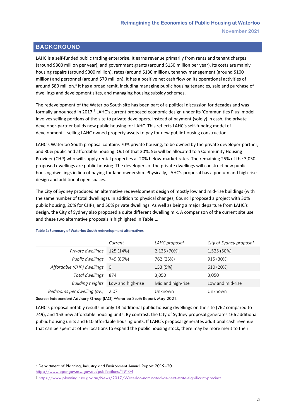# <span id="page-4-0"></span>**BACKGROUND**

LAHC is a self-funded public trading enterprise. It earns revenue primarily from rents and tenant charges (around \$800 million per year), and government grants (around \$150 million per year). Its costs are mainly housing repairs (around \$300 million), rates (around \$130 million), tenancy management (around \$100 million) and personnel (around \$70 million). It has a positive net cash flow on its operational activities of around \$80 million.<sup>4</sup> It has a broad remit, including managing public housing tenancies, sale and purchase of dwellings and development sites, and managing housing subsidy schemes.

The redevelopment of the Waterloo South site has been part of a political discussion for decades and was formally announced in 2017.<sup>5</sup> LAHC's current proposed economic design under its 'Communities Plus' model involves selling portions of the site to private developers. Instead of payment (solely) in cash, the private developer-partner builds new public housing for LAHC. This reflects LAHC's self-funding model of development—selling LAHC owned property assets to pay for new public housing construction.

LAHC's Waterloo South proposal contains 70% private housing, to be owned by the private developer-partner, and 30% public and affordable housing. Out of that 30%, 5% will be allocated to a Community Housing Provider (CHP) who will supply rental properties at 20% below-market rates. The remaining 25% of the 3,050 proposed dwellings are public housing. The developers of the private dwellings will construct new public housing dwellings in lieu of paying for land ownership. Physically, LAHC's proposal has a podium and high-rise design and additional open spaces.

The City of Sydney produced an alternative redevelopment design of mostly low and mid-rise buildings (with the same number of total dwellings). In addition to physical changes, Council proposed a project with 30% public housing, 20% for CHPs, and 50% private dwellings. As well as being a major departure from LAHC's design, the City of Sydney also proposed a quite different dwelling mix. A comparison of the current site use and these two alternative proposals is highlighted i[n Table 1.](#page-4-1)

|                             | Current           | LAHC proposal     | City of Sydney proposal |
|-----------------------------|-------------------|-------------------|-------------------------|
| Private dwellings           | 125 (14%)         | 2,135 (70%)       | 1,525 (50%)             |
| Public dwellings            | 749 (86%)         | 762 (25%)         | 915 (30%)               |
| Affordable (CHP) dwellings  | $\overline{0}$    | 153 (5%)          | 610 (20%)               |
| Total dwellings             | 874               | 3.050             | 3,050                   |
| <b>Building heights</b>     | Low and high-rise | Mid and high-rise | Low and mid-rise        |
| Bedrooms per dwelling (av.) | 2.07              | Unknown           | Unknown                 |

#### <span id="page-4-1"></span>**Table 1: Summary of Waterloo South redevelopment alternatives**

Source: Independent Advisory Group (IAG) Waterloo South Report. May 2021.

LAHC's proposal notably results in only 13 additional public housing dwellings on the site (762 compared to 749), and 153 new affordable housing units. By contrast, the City of Sydney proposal generates 166 additional public housing units and 610 affordable housing units. If LAHC's proposal generates additional cash revenue that can be spent at other locations to expand the public housing stock, there may be more merit to their

<sup>4</sup> Department of Planning, Industry and Environment Annual Report 2019–20 <https://www.opengov.nsw.gov.au/publications/19104>

<sup>5</sup> <https://www.planning.nsw.gov.au/News/2017/Waterloo-nominated-as-next-state-significant-precinct>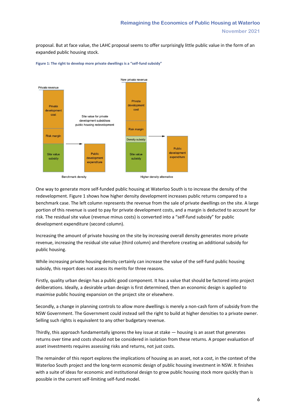proposal. But at face value, the LAHC proposal seems to offer surprisingly little public value in the form of an expanded public housing stock.



<span id="page-5-0"></span>**Figure 1: The right to develop more private dwellings is a "self-fund subsidy"**

One way to generate more self-funded public housing at Waterloo South is to increase the density of the redevelopment[. Figure 1](#page-5-0) shows how higher density development increases public returns compared to a benchmark case. The left column represents the revenue from the sale of private dwellings on the site. A large portion of this revenue is used to pay for private development costs, and a margin is deducted to account for risk. The residual site value (revenue minus costs) is converted into a "self-fund subsidy" for public development expenditure (second column).

Increasing the amount of private housing on the site by increasing overall density generates more private revenue, increasing the residual site value (third column) and therefore creating an additional subsidy for public housing.

While increasing private housing density certainly can increase the value of the self-fund public housing subsidy, this report does not assess its merits for three reasons.

Firstly, quality urban design has a public good component. It has a value that should be factored into project deliberations. Ideally, a desirable urban design is first determined, then an economic design is applied to maximise public housing expansion on the project site or elsewhere.

Secondly, a change in planning controls to allow more dwellings is merely a non-cash form of subsidy from the NSW Government. The Government could instead sell the right to build at higher densities to a private owner. Selling such rights is equivalent to any other budgetary revenue.

Thirdly, this approach fundamentally ignores the key issue at stake — housing is an asset that generates returns over time and costs should not be considered in isolation from these returns. A proper evaluation of asset investments requires assessing risks and returns, not just costs.

The remainder of this report explores the implications of housing as an asset, not a cost, in the context of the Waterloo South project and the long-term economic design of public housing investment in NSW. It finishes with a suite of ideas for economic and institutional design to grow public housing stock more quickly than is possible in the current self-limiting self-fund model.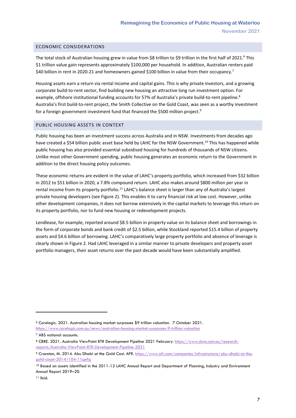## <span id="page-6-0"></span>ECONOMIC CONSIDERATIONS

The total stock of Australian housing grew in value from \$8 trillion to \$9 trillion in the first half of 2021.<sup>6</sup> This \$1 trillion value gain represents approximately \$100,000 per household. In addition, Australian renters paid \$40 billion in rent in 2020-21 and homeowners gained \$100 billion in value from their occupancy.<sup>7</sup>

Housing assets earn a return via rental income and capital gains. This is why private investors, and a growing corporate build-to-rent sector, find building new housing an attractive long run investment option. For example, offshore institutional funding accounts for 57% of Australia's private build-to-rent pipeline.<sup>8</sup> Australia's first build-to-rent project, the Smith Collective on the Gold Coast, was seen as a worthy investment for a foreign government investment fund that financed the \$500 million project.<sup>9</sup>

## <span id="page-6-1"></span>PUBLIC HOUSING ASSETS IN CONTEXT

Public housing has been an investment success across Australia and in NSW. Investments from decades ago have created a \$54 billion public asset base held by LAHC for the NSW Government.<sup>10</sup> This has happened while public housing has also provided essential subsidised housing for hundreds of thousands of NSW citizens. Unlike most other Government spending, public housing generates an economic return to the Government in addition to the direct housing policy outcomes.

These economic returns are evident in the value of LAHC's property portfolio, which increased from \$32 billion in 2012 to \$51 billion in 2020, a 7.8% compound return. LAHC also makes around \$800 million per year in rental income from its property portfolio.<sup>11</sup> LAHC's balance sheet is larger than any of Australia's largest private housing developers (see Figure 2). This enables it to carry financial risk at low cost. However, unlike other development companies, it does not borrow extensively in the capital markets to leverage this return on its property portfolio, nor to fund new housing or redevelopment projects.

Lendlease, for example, reported around \$8.5 billion in property value on its balance sheet and borrowings in the form of corporate bonds and bank credit of \$2.5 billion, while Stockland reported \$15.4 billion of property assets and \$4.6 billion of borrowing. LAHC's comparatively large property portfolio and absence of leverage is clearly shown in Figure 2. Had LAHC leveraged in a similar manner to private developers and property asset portfolio managers, their asset returns over the past decade would have been substantially amplified.

<sup>6</sup> Corelogic. 2021. Australian housing market surpasses \$9 trillion valuation. 7 October 2021.

<https://www.corelogic.com.au/news/australian-housing-market-surpasses-9-trillion-valuation>

<sup>7</sup> ABS national accounts.

<sup>8</sup> CBRE. 2021. Australia ViewPoint BTR Development Pipeline 2021 February. [https://www.cbre.com.au/research](https://www.cbre.com.au/research-reports/Australia-ViewPoint-BTR-Development-Pipeline-2021)[reports/Australia-ViewPoint-BTR-Development-Pipeline-2021](https://www.cbre.com.au/research-reports/Australia-ViewPoint-BTR-Development-Pipeline-2021)

<sup>9</sup> Cranston, M. 2014. Abu Dhabi at the Gold Cost. AFR. [https://www.afr.com/companies/infrastructure/abu-dhabi-at-the](https://www.afr.com/companies/infrastructure/abu-dhabi-at-the-gold-coast-20141104-11gefg)[gold-coast-20141104-11gefg](https://www.afr.com/companies/infrastructure/abu-dhabi-at-the-gold-coast-20141104-11gefg)

<sup>10</sup> Based on assets identified in the 2011-12 LAHC Annual Report and Department of Planning, Industry and Environment Annual Report 2019–20.

<sup>11</sup> Ibid.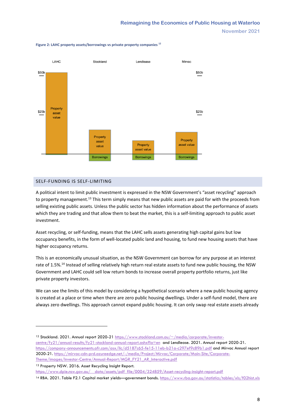**November 2021**



#### **Figure 2: LAHC property assets/borrowings vs private property companies <sup>12</sup>**

## <span id="page-7-0"></span>SELF-FUNDING IS SELF-LIMITING

A political intent to limit public investment is expressed in the NSW Government's "asset recycling" approach to property management.<sup>13</sup> This term simply means that new public assets are paid for with the proceeds from selling existing public assets. Unless the public sector has hidden information about the performance of assets which they are trading and that allow them to beat the market, this is a self-limiting approach to public asset investment.

Asset recycling, or self-funding, means that the LAHC sells assets generating high capital gains but low occupancy benefits, in the form of well-located public land and housing, to fund new housing assets that have higher occupancy returns.

This is an economically unusual situation, as the NSW Government can borrow for any purpose at an interest rate of 1.5%.<sup>14</sup> Instead of selling relatively high return real estate assets to fund new public housing, the NSW Government and LAHC could sell low return bonds to increase overall property portfolio returns, just like private property investors.

We can see the limits of this model by considering a hypothetical scenario where a new public housing agency is created at a place or time when there are zero public housing dwellings. Under a self-fund model, there are always zero dwellings. This approach cannot expand public housing. It can only swap real estate assets already

13 Property NSW. 2016. Asset Recycling Insight Report.

<sup>12</sup> Stockland. 2021. Annual report 2020-21 [https://www.stockland.com.au/~/media/corporate/investor](https://www.stockland.com.au/~/media/corporate/investor-centre/fy21/annual-results/fy21-stockland-annual-report.ashx?la=en)[centre/fy21/annual-results/fy21-stockland-annual-report.ashx?la=en](https://www.stockland.com.au/~/media/corporate/investor-centre/fy21/annual-results/fy21-stockland-annual-report.ashx?la=en) and Lendlease. 2021. Annual report 2020-21. <https://company-announcements.afr.com/asx/llc/d5187c65-fe15-11eb-b21a-c297ef9c89b1.pdf> and Mirvac Annual report 2020-21. [https://mirvac-cdn-prd.azureedge.net/-/media/Project/Mirvac/Corporate/Main-Site/Corporate-](https://mirvac-cdn-prd.azureedge.net/-/media/Project/Mirvac/Corporate/Main-Site/Corporate-Theme/images/Investor-Centre/Annual-Report/MGR_FY21_AR_Interactive.pdf)[Theme/images/Investor-Centre/Annual-Report/MGR\\_FY21\\_AR\\_Interactive.pdf](https://mirvac-cdn-prd.azureedge.net/-/media/Project/Mirvac/Corporate/Main-Site/Corporate-Theme/images/Investor-Centre/Annual-Report/MGR_FY21_AR_Interactive.pdf)

[https://www.dpie.nsw.gov.au/\\_\\_data/assets/pdf\\_file/0004/324859/Asset-recycling-insight-report.pdf](https://www.dpie.nsw.gov.au/__data/assets/pdf_file/0004/324859/Asset-recycling-insight-report.pdf)

<sup>14</sup> RBA. 2021. Table F2.1 Capital market yields—government bonds.<https://www.rba.gov.au/statistics/tables/xls/f02hist.xls>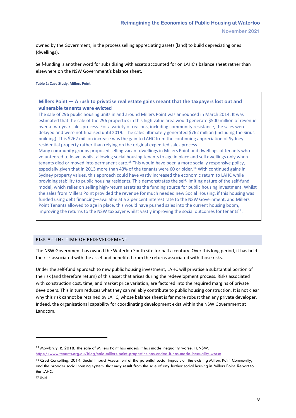owned by the Government, in the process selling appreciating assets (land) to build depreciating ones (dwellings).

Self-funding is another word for subsidising with assets accounted for on LAHC's balance sheet rather than elsewhere on the NSW Government's balance sheet.

**Table 1: Case Study, Millers Point**

# **Millers Point — A rush to privatise real estate gains meant that the taxpayers lost out and vulnerable tenants were evicted**

The sale of 296 public housing units in and around Millers Point was announced in March 2014. It was estimated that the sale of the 296 properties in this high value area would generate \$500 million of revenue over a two-year sales process. For a variety of reasons, including community resistance, the sales were delayed and were not finalised until 2019. The sales ultimately generated \$762 million (including the Sirius building). This \$262 million increase was the gain to LAHC from the continuing appreciation of Sydney residential property rather than relying on the original expedited sales process.

Many community groups proposed selling vacant dwellings in Millers Point and dwellings of tenants who volunteered to leave, whilst allowing social housing tenants to age in place and sell dwellings only when tenants died or moved into permanent care.<sup>15</sup> This would have been a more socially responsive policy, especially given that in 2013 more than 43% of the tenants were 60 or older.<sup>16</sup> With continued gains in Sydney property values, this approach could have vastly increased the economic return to LAHC while providing stability to public housing residents. This demonstrates the self-limiting nature of the self-fund model, which relies on selling high-return assets as the funding source for public housing investment. Whilst the sales from Millers Point provided the revenue for much needed new Social Housing, if this housing was funded using debt financing—available at a 2 per cent interest rate to the NSW Government, and Millers Point Tenants allowed to age in place, this would have pushed sales into the current housing boom, improving the returns to the NSW taxpayer whilst vastly improving the social outcomes for tenants<sup>17</sup>.

## <span id="page-8-0"></span>RISK AT THE TIME OF REDEVELOPMENT

The NSW Government has owned the Waterloo South site for half a century. Over this long period, it has held the risk associated with the asset and benefited from the returns associated with those risks.

Under the self-fund approach to new public housing investment, LAHC will privatise a substantial portion of the risk (and therefore return) of this asset that arises during the redevelopment process. Risks associated with construction cost, time, and market price variation, are factored into the required margins of private developers. This in turn reduces what they can reliably contribute to public housing construction. It is not clear why this risk cannot be retained by LAHC, whose balance sheet is far more robust than any private developer. Indeed, the organisational capability for coordinating development exist within the NSW Government at Landcom.

<sup>15</sup> Mowbray. R. 2018. The sale of Millers Point has ended: it has made inequality worse. TUNSW. <https://www.tenants.org.au/blog/sale-millers-point-properties-has-ended-it-has-made-inequality-worse>

<sup>16</sup> Cred Consulting. 2014. Social Impact Assessment of the potential social impacts on the existing Millers Point Community, and the broader social housing system, that may result from the sale of any further social housing in Millers Point. Report to the LAHC.

<sup>17</sup> ibid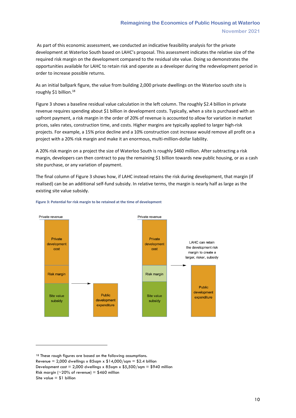# **Reimagining the Economics of Public Housing at Waterloo November 2021**

As part of this economic assessment, we conducted an indicative feasibility analysis for the private development at Waterloo South based on LAHC's proposal. This assessment indicates the relative size of the required risk margin on the development compared to the residual site value. Doing so demonstrates the opportunities available for LAHC to retain risk and operate as a developer during the redevelopment period in order to increase possible returns.

As an initial ballpark figure, the value from building 2,000 private dwellings on the Waterloo south site is roughly \$1 billion.<sup>18</sup>

Figure 3 shows a baseline residual value calculation in the left column. The roughly \$2.4 billion in private revenue requires spending about \$1 billion in development costs. Typically, when a site is purchased with an upfront payment, a risk margin in the order of 20% of revenue is accounted to allow for variation in market prices, sales rates, construction time, and costs. Higher margins are typically applied to larger high-risk projects. For example, a 15% price decline and a 10% construction cost increase would remove all profit on a project with a 20% risk margin and make it an enormous, multi-million-dollar liability.

A 20% risk margin on a project the size of Waterloo South is roughly \$460 million. After subtracting a risk margin, developers can then contract to pay the remaining \$1 billion towards new public housing, or as a cash site purchase, or any variation of payment.

The final column of Figure 3 shows how, if LAHC instead retains the risk during development, that margin (if realised) can be an additional self-fund subsidy. In relative terms, the margin is nearly half as large as the existing site value subsidy.



#### **Figure 3: Potential for risk margin to be retained at the time of development**

18 These rough figures are based on the following assumptions.

Risk margin ( $\sim$ 20% of revenue) = \$460 million Site value  $= $1$  billion

Revenue = 2,000 dwellings x 85sqm x  $$14,000/s$ qm = \$2.4 billion

Development cost = 2,000 dwellings x 85sqm x  $$5,500/sqm = $940$  million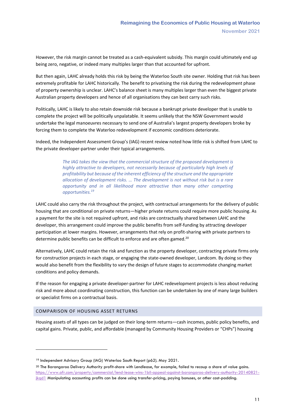However, the risk margin cannot be treated as a cash-equivalent subsidy. This margin could ultimately end up being zero, negative, or indeed many multiples larger than that accounted for upfront.

But then again, LAHC already holds this risk by being the Waterloo South site owner. Holding that risk has been extremely profitable for LAHC historically. The benefit to privatising the risk during the redevelopment phase of property ownership is unclear. LAHC's balance sheet is many multiples larger than even the biggest private Australian property developers and hence of all organisations they can best carry such risks.

Politically, LAHC is likely to also retain downside risk because a bankrupt private developer that is unable to complete the project will be politically unpalatable. It seems unlikely that the NSW Government would undertake the legal manoeuvres necessary to send one of Australia's largest property developers broke by forcing them to complete the Waterloo redevelopment if economic conditions deteriorate.

Indeed, the Independent Assessment Group's (IAG) recent review noted how little risk is shifted from LAHC to the private developer-partner under their typical arrangements.

> *The IAG takes the view that the commercial structure of the proposed development is highly attractive to developers, not necessarily because of particularly high levels of profitability but because of the inherent efficiency of the structure and the appropriate allocation of development risks. … The development is not without risk but is a rare opportunity and in all likelihood more attractive than many other competing opportunities.<sup>19</sup>*

LAHC could also carry the risk throughout the project, with contractual arrangements for the delivery of public housing that are conditional on private returns—higher private returns could require more public housing. As a payment for the site is not required upfront, and risks are contractually shared between LAHC and the developer, this arrangement could improve the public benefits from self-funding by attracting developer participation at lower margins. However, arrangements that rely on profit-sharing with private partners to determine public benefits can be difficult to enforce and are often gamed.<sup>20</sup>

Alternatively, LAHC could retain the risk and function as the property developer, contracting private firms only for construction projects in each stage, or engaging the state-owned developer, Landcom. By doing so they would also benefit from the flexibility to vary the design of future stages to accommodate changing market conditions and policy demands.

If the reason for engaging a private developer-partner for LAHC redevelopment projects is less about reducing risk and more about coordinating construction, this function can be undertaken by one of many large builders or specialist firms on a contractual basis.

## <span id="page-10-0"></span>COMPARISON OF HOUSING ASSET RETURNS

Housing assets of all types can be judged on their long-term returns—cash incomes, public policy benefits, and capital gains. Private, public, and affordable (managed by Community Housing Providers or "CHPs") housing

<sup>&</sup>lt;sup>19</sup> Independent Advisory Group (IAG) Waterloo South Report (p62). May 2021.

<sup>&</sup>lt;sup>20</sup> The Barangaroo Delivery Authority profit-share with Lendlease, for example, failed to recoup a share of value gains. [https://www.afr.com/property/commercial/lend-lease-wins-1bil-appeal-against-barangaroo-delivery-authority-20140821](https://www.afr.com/property/commercial/lend-lease-wins-1bil-appeal-against-barangaroo-delivery-authority-20140821-jkqd1) [jkqd1](https://www.afr.com/property/commercial/lend-lease-wins-1bil-appeal-against-barangaroo-delivery-authority-20140821-jkqd1) Manipulating accounting profits can be done using transfer-pricing, paying bonuses, or other cost-padding.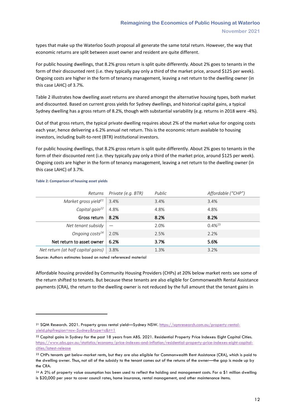types that make up the Waterloo South proposal all generate the same total return. However, the way that economic returns are split between asset owner and resident are quite different.

[For public housing dwellings, that 8.2% gross return is split quite differently. About 2% goes to tenants in the](#page-11-0)  [form of their discounted rent \(i.e. they typically pay only a third of the market price, around \\$125 per week\).](#page-11-0)  [Ongoing costs are higher in the form of tenancy management, leaving a net return to the dwelling owner \(in](#page-11-0)  [this case LAHC\) of 3.7%.](#page-11-0) 

[Table 2](#page-11-0) illustrates how dwelling asset returns are shared amongst the alternative housing types, both market and discounted. Based on current gross yields for Sydney dwellings, and historical capital gains, a typical Sydney dwelling has a gross return of 8.2%, though with substantial variability (e.g. returns in 2018 were -4%).

Out of that gross return, the typical private dwelling requires about 2% of the market value for ongoing costs each year, hence delivering a 6.2% annual net return. This is the economic return available to housing investors, including built-to-rent (BTR) institutional investors.

<span id="page-11-0"></span>For public housing dwellings, that 8.2% gross return is split quite differently. About 2% goes to tenants in the form of their discounted rent (i.e. they typically pay only a third of the market price, around \$125 per week). Ongoing costs are higher in the form of tenancy management, leaving a net return to the dwelling owner (in this case LAHC) of 3.7%.

| Returns                            | Private (e.g. BTR) | Public | Affordable ("CHP") |
|------------------------------------|--------------------|--------|--------------------|
| Market gross yield <sup>21</sup>   | 3.4%               | 3.4%   | 3.4%               |
| Capital gain <sup>22</sup>         | 4.8%               | 4.8%   | 4.8%               |
| Gross return                       | 8.2%               | 8.2%   | 8.2%               |
| Net tenant subsidy                 |                    | 2.0%   | $0.4\%^{23}$       |
| Ongoing $costs24$                  | 2.0%               | 2.5%   | 2.2%               |
| Net return to asset owner          | 6.2%               | 3.7%   | 5.6%               |
| Net return (at half capital gains) | 3.8%               | 1.3%   | 3.2%               |

**Table 2: Comparison of housing asset yields**

Source: Authors estimates based on noted referenced material

Affordable housing provided by Community Housing Providers (CHPs) at 20% below market rents see some of the return shifted to tenants. But because these tenants are also eligible for Commonwealth Rental Assistance payments (CRA), the return to the dwelling owner is not reduced by the full amount that the tenant gains in

<sup>21</sup> SQM Research. 2021. Property gross rental yield—Sydney NSW. [https://sqmresearch.com.au/property-rental](https://sqmresearch.com.au/property-rental-yield.php?region=nsw-Sydney&type=c&t=1)[yield.php?region=nsw-Sydney&type=c&t=1](https://sqmresearch.com.au/property-rental-yield.php?region=nsw-Sydney&type=c&t=1)

<sup>22</sup> Capital gains in Sydney for the past 18 years from ABS. 2021. Residential Property Price Indexes: Eight Capital Cities. [https://www.abs.gov.au/statistics/economy/price-indexes-and-inflation/residential-property-price-indexes-eight-capital](https://www.abs.gov.au/statistics/economy/price-indexes-and-inflation/residential-property-price-indexes-eight-capital-cities/latest-release)[cities/latest-release](https://www.abs.gov.au/statistics/economy/price-indexes-and-inflation/residential-property-price-indexes-eight-capital-cities/latest-release)

<sup>&</sup>lt;sup>23</sup> CHPs tenants get below-market rents, but they are also eligible for Commonwealth Rent Assistance (CRA), which is paid to the dwelling owner. Thus, not all of the subsidy to the tenant comes out of the returns of the owner—the gap is made up by the CRA.

 $24$  A  $2\%$  of property value assumption has been used to reflect the holding and management costs. For a \$1 million dwelling is \$20,000 per year to cover council rates, home insurance, rental management, and other maintenance items.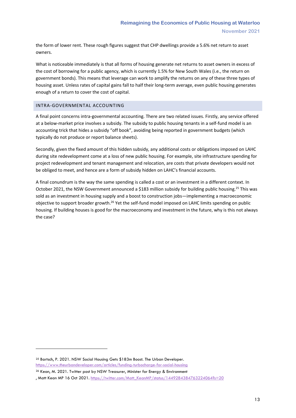the form of lower rent. These rough figures suggest that CHP dwellings provide a 5.6% net return to asset owners.

What is noticeable immediately is that all forms of housing generate net returns to asset owners in excess of the cost of borrowing for a public agency, which is currently 1.5% for New South Wales (i.e., the return on government bonds). This means that leverage can work to amplify the returns on any of these three types of housing asset. Unless rates of capital gains fall to half their long-term average, even public housing generates enough of a return to cover the cost of capital.

## <span id="page-12-0"></span>INTRA-GOVERNMENTAL ACCOUNTING

A final point concerns intra-governmental accounting. There are two related issues. Firstly, any service offered at a below-market price involves a subsidy. The subsidy to public housing tenants in a self-fund model is an accounting trick that hides a subsidy "off book", avoiding being reported in government budgets (which typically do not produce or report balance sheets).

Secondly, given the fixed amount of this hidden subsidy, any additional costs or obligations imposed on LAHC during site redevelopment come at a loss of new public housing. For example, site infrastructure spending for project redevelopment and tenant management and relocation, are costs that private developers would not be obliged to meet, and hence are a form of subsidy hidden on LAHC's financial accounts.

<span id="page-12-1"></span>A final conundrum is the way the same spending is called a cost or an investment in a different context. In October 2021, the NSW Government announced a \$183 million subsidy for building public housing.<sup>25</sup> This was sold as an investment in housing supply and a boost to construction jobs—implementing a macroeconomic objective to support broader growth.<sup>26</sup> Yet the self-fund model imposed on LAHC limits spending on public housing. If building houses is good for the macroeconomy and investment in the future, why is this not always the case?

<sup>26</sup> Kean, M. 2021. Twitter post by NSW Treasurer, Minister for Energy & Environment

<sup>25</sup> Bartsch, P. 2021. NSW Social Housing Gets \$183m Boost. The Urban Developer. <https://www.theurbandeveloper.com/articles/funding-turbocharge-for-social-housing>

<sup>,</sup> Matt Kean MP 16 Oct 2021[. https://twitter.com/Matt\\_KeanMP/status/1449284384763224064?s=20](https://twitter.com/Matt_KeanMP/status/1449284384763224064?s=20)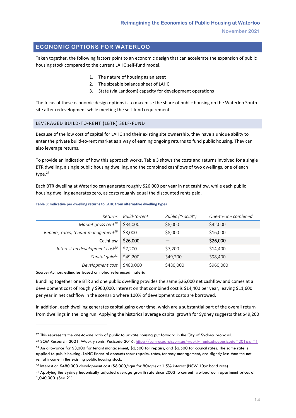# **ECONOMIC OPTIONS FOR WATERLOO**

Taken together, the following factors point to an economic design that can accelerate the expansion of public housing stock compared to the current LAHC self-fund model.

- 1. The nature of housing as an asset
- 2. The sizeable balance sheet of LAHC
- 3. State (via Landcom) capacity for development operations

The focus of these economic design options is to maximise the share of public housing on the Waterloo South site after redevelopment while meeting the self-fund requirement.

# <span id="page-13-0"></span>LEVERAGED BUILD-TO-RENT (LBTR) SELF-FUND

Because of the low cost of capital for LAHC and their existing site ownership, they have a unique ability to enter the private build-to-rent market as a way of earning ongoing returns to fund public housing. They can also leverage returns.

To provide an indication of how this approach works, [Table 3](#page-13-1) shows the costs and returns involved for a single BTR dwelling, a single public housing dwelling, and the combined cashflows of two dwellings, one of each type.<sup>27</sup>

Each BTR dwelling at Waterloo can generate roughly \$26,000 per year in net cashflow, while each public housing dwelling generates zero, as costs roughly equal the discounted rents paid.

#### <span id="page-13-1"></span>**Table 3: Indicative per dwelling returns to LAHC from alternative dwelling types**

| Returns                                         | Build-to-rent | Public ("social") | One-to-one combined |
|-------------------------------------------------|---------------|-------------------|---------------------|
| Market gross rent <sup>28</sup>                 | \$34,000      | \$8,000           | \$42,000            |
| Repairs, rates, tenant management <sup>29</sup> | \$8,000       | \$8,000           | \$16,000            |
| Cashflow                                        | \$26,000      |                   | \$26,000            |
| Interest on development cost <sup>30</sup>      | \$7.200       | \$7,200           | \$14,400            |
| Capital gain <sup>31</sup>                      | \$49,200      | \$49,200          | \$98,400            |
| Development cost                                | \$480,000     | \$480,000         | \$960,000           |

Source: Authors estimates based on noted referenced material

Bundling together one BTR and one public dwelling provides the same \$26,000 net cashflow and comes at a development cost of roughly \$960,000. Interest on that combined cost is \$14,400 per year, leaving \$11,600 per year in net cashflow in the scenario where 100% of development costs are borrowed.

In addition, each dwelling generates capital gains over time, which are a substantial part of the overall return from dwellings in the long run. Applying the historical average capital growth for Sydney suggests that \$49,200

<sup>28</sup> SQM Research. 2021. Weekly rents. Postcode 2016. <https://sqmresearch.com.au/weekly-rents.php?postcode=2016&t=1>

<sup>&</sup>lt;sup>27</sup> This represents the one-to-one ratio of public to private housing put forward in the City of Sydney proposal.

<sup>29</sup> An allowance for \$3,000 for tenant management, \$2,500 for repairs, and \$2,500 for council rates. The same rate is applied to public housing. LAHC financial accounts show repairs, rates, tenancy management, are slightly less than the net rental income in the existing public housing stock.

<sup>30</sup> Interest on \$480,000 development cost (\$6,000/sqm for 80sqm) at 1.5% interest (NSW 10yr bond rate).

<sup>31</sup> Applying the Sydney hedonically adjusted average growth rate since 2003 to current two-bedroom apartment prices of 1,040,000. (See 21)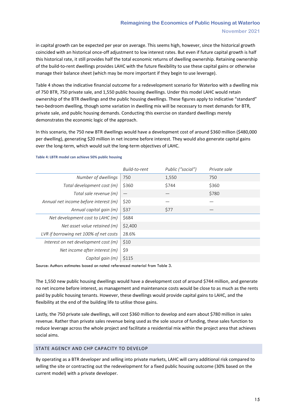# **Reimagining the Economics of Public Housing at Waterloo November 2021**

in capital growth can be expected per year on average. This seems high, however, since the historical growth coincided with an historical once-off adjustment to low interest rates. But even if future capital growth is half this historical rate, it still provides half the total economic returns of dwelling ownership. Retaining ownership of the build-to-rent dwellings provides LAHC with the future flexibility to use these capital gains or otherwise manage their balance sheet (which may be more important if they begin to use leverage).

[Table 4](#page-14-1) shows the indicative financial outcome for a redevelopment scenario for Waterloo with a dwelling mix of 750 BTR, 750 private sale, and 1,550 public housing dwellings. Under this model LAHC would retain ownership of the BTR dwellings and the public housing dwellings. These figures apply to indicative "standard" two-bedroom dwelling, though some variation in dwelling mix will be necessary to meet demands for BTR, private sale, and public housing demands. Conducting this exercise on standard dwellings merely demonstrates the economic logic of the approach.

In this scenario, the 750 new BTR dwellings would have a development cost of around \$360 million (\$480,000 per dwelling), generating \$20 million in net income before interest. They would also generate capital gains over the long-term, which would suit the long-term objectives of LAHC.

|                                        | Build-to-rent | Public ("social") | Private sale |
|----------------------------------------|---------------|-------------------|--------------|
| Number of dwellings                    | 750           | 1,550             | 750          |
| Total development cost (m)             | \$360         | \$744             | \$360        |
| Total sale revenue (m)                 |               |                   | \$780        |
| Annual net income before interest (m)  | \$20          |                   |              |
| Annual capital gain (m)                | \$37          | \$77              |              |
| Net development cost to LAHC (m)       | \$684         |                   |              |
| Net asset value retained (m)           | \$2,400       |                   |              |
| LVR if borrowing net 100% of net costs | 28.6%         |                   |              |
| Interest on net development cost (m)   | \$10          |                   |              |
| Net income after interest (m)          | \$9           |                   |              |
| Capital gain (m)                       | \$115         |                   |              |

#### <span id="page-14-1"></span>**Table 4: LBTR model can achieve 50% public housing**

Source: Authors estimates based on noted referenced material from Table 3.

The 1,550 new public housing dwellings would have a development cost of around \$744 million, and generate no net income before interest, as management and maintenance costs would be close to as much as the rents paid by public housing tenants. However, these dwellings would provide capital gains to LAHC, and the flexibility at the end of the building life to utilise those gains.

Lastly, the 750 private sale dwellings, will cost \$360 million to develop and earn about \$780 million in sales revenue. Rather than private sales revenue being used as the sole source of funding, these sales function to reduce leverage across the whole project and facilitate a residential mix within the project area that achieves social aims.

## <span id="page-14-0"></span>STATE AGENCY AND CHP CAPACITY TO DEVELOP

By operating as a BTR developer and selling into private markets, LAHC will carry additional risk compared to selling the site or contracting out the redevelopment for a fixed public housing outcome (30% based on the current model) with a private developer.